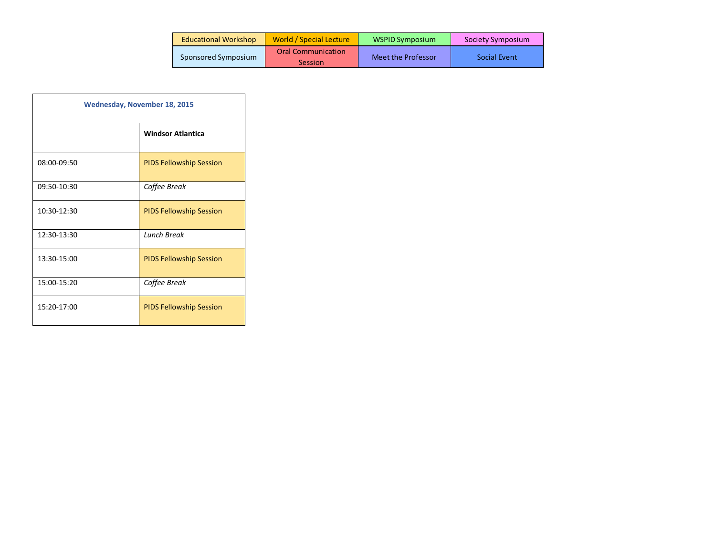| <b>Educational Workshop</b> | World / Special Lecture              | WSPID Symposium    | Society Symposium |
|-----------------------------|--------------------------------------|--------------------|-------------------|
| Sponsored Symposium         | <b>Oral Communication</b><br>Session | Meet the Professor | Social Event      |

| <b>Wednesday, November 18, 2015</b> |                                |  |
|-------------------------------------|--------------------------------|--|
|                                     | <b>Windsor Atlantica</b>       |  |
| 08:00-09:50                         | <b>PIDS Fellowship Session</b> |  |
| 09:50-10:30                         | Coffee Break                   |  |
| 10:30-12:30                         | <b>PIDS Fellowship Session</b> |  |
| 12:30-13:30                         | <b>Lunch Break</b>             |  |
| 13:30-15:00                         | <b>PIDS Fellowship Session</b> |  |
| 15:00-15:20                         | Coffee Break                   |  |
| 15:20-17:00                         | <b>PIDS Fellowship Session</b> |  |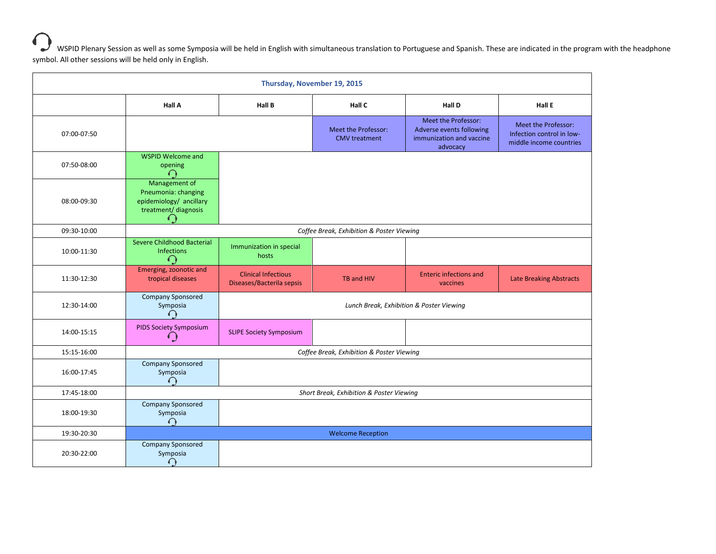WSPID Plenary Session as well as some Symposia will be held in English with simultaneous translation to Portuguese and Spanish. These are indicated in the program with the headphone symbol. All other sessions will be held only in English.

| Thursday, November 19, 2015 |                                                                                              |                                                         |                                             |                                                                                         |                                                                             |
|-----------------------------|----------------------------------------------------------------------------------------------|---------------------------------------------------------|---------------------------------------------|-----------------------------------------------------------------------------------------|-----------------------------------------------------------------------------|
|                             | Hall A                                                                                       | <b>Hall B</b>                                           | Hall C                                      | <b>Hall D</b>                                                                           | Hall E                                                                      |
| 07:00-07:50                 |                                                                                              |                                                         | Meet the Professor:<br><b>CMV</b> treatment | Meet the Professor:<br>Adverse events following<br>immunization and vaccine<br>advocacy | Meet the Professor:<br>Infection control in low-<br>middle income countries |
| 07:50-08:00                 | <b>WSPID Welcome and</b><br>opening                                                          |                                                         |                                             |                                                                                         |                                                                             |
| 08:00-09:30                 | Management of<br>Pneumonia: changing<br>epidemiology/ ancillary<br>treatment/ diagnosis<br>← |                                                         |                                             |                                                                                         |                                                                             |
| 09:30-10:00                 |                                                                                              | Coffee Break, Exhibition & Poster Viewing               |                                             |                                                                                         |                                                                             |
| 10:00-11:30                 | Severe Childhood Bacterial<br><b>Infections</b>                                              | Immunization in special<br>hosts                        |                                             |                                                                                         |                                                                             |
| 11:30-12:30                 | Emerging, zoonotic and<br>tropical diseases                                                  | <b>Clinical Infectious</b><br>Diseases/Bacterila sepsis | TB and HIV                                  | <b>Enteric infections and</b><br>vaccines                                               | <b>Late Breaking Abstracts</b>                                              |
| 12:30-14:00                 | <b>Company Sponsored</b><br>Symposia<br>ſ                                                    | Lunch Break, Exhibition & Poster Viewing                |                                             |                                                                                         |                                                                             |
| 14:00-15:15                 | <b>PIDS Society Symposium</b><br>O                                                           | <b>SLIPE Society Symposium</b>                          |                                             |                                                                                         |                                                                             |
| 15:15-16:00                 | Coffee Break, Exhibition & Poster Viewing                                                    |                                                         |                                             |                                                                                         |                                                                             |
| 16:00-17:45                 | <b>Company Sponsored</b><br>Symposia<br>$\curvearrowleft$                                    |                                                         |                                             |                                                                                         |                                                                             |
| 17:45-18:00                 | Short Break, Exhibition & Poster Viewing                                                     |                                                         |                                             |                                                                                         |                                                                             |
| 18:00-19:30                 | <b>Company Sponsored</b><br>Symposia<br>$\bigcap$                                            |                                                         |                                             |                                                                                         |                                                                             |
| 19:30-20:30                 |                                                                                              |                                                         | <b>Welcome Reception</b>                    |                                                                                         |                                                                             |
| 20:30-22:00                 | <b>Company Sponsored</b><br>Symposia<br>€                                                    |                                                         |                                             |                                                                                         |                                                                             |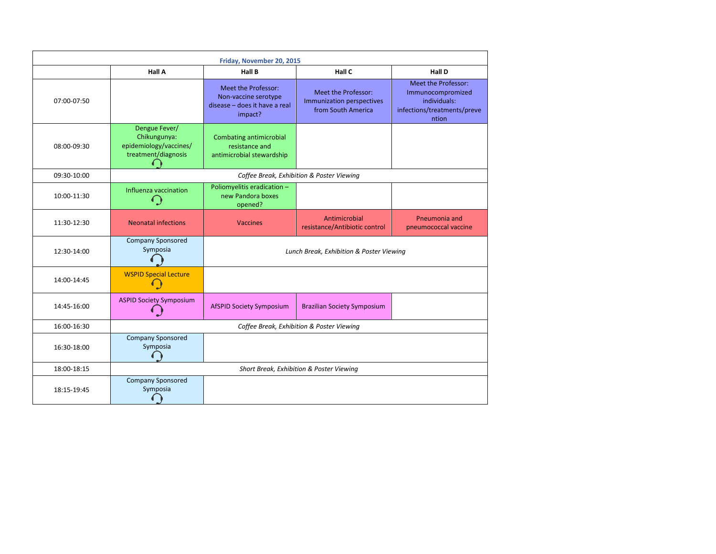| Friday, November 20, 2015 |                                                                                |                                                                                         |                                                                        |                                                                                                  |
|---------------------------|--------------------------------------------------------------------------------|-----------------------------------------------------------------------------------------|------------------------------------------------------------------------|--------------------------------------------------------------------------------------------------|
|                           | <b>Hall A</b>                                                                  | Hall B                                                                                  | Hall C                                                                 | <b>Hall D</b>                                                                                    |
| 07:00-07:50               |                                                                                | Meet the Professor:<br>Non-vaccine serotype<br>disease - does it have a real<br>impact? | Meet the Professor:<br>Immunization perspectives<br>from South America | Meet the Professor:<br>Immunocompromized<br>individuals:<br>infections/treatments/preve<br>ntion |
| 08:00-09:30               | Dengue Fever/<br>Chikungunya:<br>epidemiology/vaccines/<br>treatment/diagnosis | Combating antimicrobial<br>resistance and<br>antimicrobial stewardship                  |                                                                        |                                                                                                  |
| 09:30-10:00               | Coffee Break, Exhibition & Poster Viewing                                      |                                                                                         |                                                                        |                                                                                                  |
| 10:00-11:30               | Influenza vaccination<br>6)                                                    | Poliomyelitis eradication -<br>new Pandora boxes<br>opened?                             |                                                                        |                                                                                                  |
| 11:30-12:30               | <b>Neonatal infections</b>                                                     | <b>Vaccines</b>                                                                         | Antimicrobial<br>resistance/Antibiotic control                         | Pneumonia and<br>pneumococcal vaccine                                                            |
| 12:30-14:00               | <b>Company Sponsored</b><br>Symposia                                           | Lunch Break, Exhibition & Poster Viewing                                                |                                                                        |                                                                                                  |
| 14:00-14:45               | <b>WSPID Special Lecture</b>                                                   |                                                                                         |                                                                        |                                                                                                  |
| 14:45-16:00               | <b>ASPID Society Symposium</b>                                                 | <b>AfSPID Society Symposium</b>                                                         | <b>Brazilian Society Symposium</b>                                     |                                                                                                  |
| 16:00-16:30               | Coffee Break, Exhibition & Poster Viewing                                      |                                                                                         |                                                                        |                                                                                                  |
| 16:30-18:00               | <b>Company Sponsored</b><br>Symposia                                           |                                                                                         |                                                                        |                                                                                                  |
| 18:00-18:15               | Short Break, Exhibition & Poster Viewing                                       |                                                                                         |                                                                        |                                                                                                  |
| 18:15-19:45               | <b>Company Sponsored</b><br>Symposia                                           |                                                                                         |                                                                        |                                                                                                  |